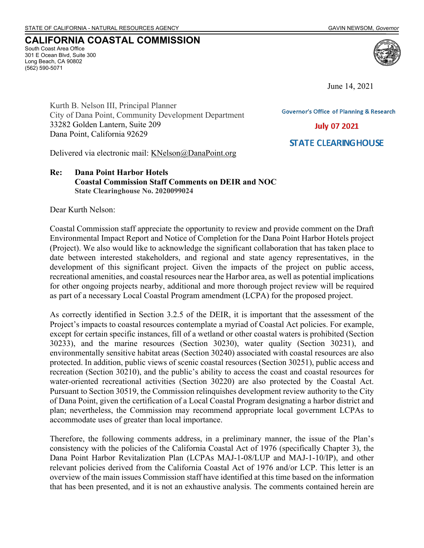South Coast Area Office 301 E Ocean Blvd, Suite 300 Long Beach, CA 90802 (562) 590-5071

**CALIFORNIA COASTAL COMMISSION**

June 14, 2021

**Governor's Office of Planning & Research** 

**July 07 2021** 

**STATE CLEARING HOUSE** 

Kurth B. Nelson III, Principal Planner City of Dana Point, Community Development Department 33282 Golden Lantern, Suite 209 Dana Point, California 92629

Delivered via electronic mail: [KNelson@DanaPoint.org](mailto:KNelson@DanaPoint.org?subject=CCC%20Staff%20Comments%20on%20Final%20DEIR/NOC%20for%20Dana%20Point%20Harbor%20Hotels)

# **Re: Dana Point Harbor Hotels Coastal Commission Staff Comments on DEIR and NOC State Clearinghouse No. 2020099024**

Dear Kurth Nelson:

Coastal Commission staff appreciate the opportunity to review and provide comment on the Draft Environmental Impact Report and Notice of Completion for the Dana Point Harbor Hotels project (Project). We also would like to acknowledge the significant collaboration that has taken place to date between interested stakeholders, and regional and state agency representatives, in the development of this significant project. Given the impacts of the project on public access, recreational amenities, and coastal resources near the Harbor area, as well as potential implications for other ongoing projects nearby, additional and more thorough project review will be required as part of a necessary Local Coastal Program amendment (LCPA) for the proposed project.

As correctly identified in Section 3.2.5 of the DEIR, it is important that the assessment of the Project's impacts to coastal resources contemplate a myriad of Coastal Act policies. For example, except for certain specific instances, fill of a wetland or other coastal waters is prohibited (Section 30233), and the marine resources (Section 30230), water quality (Section 30231), and environmentally sensitive habitat areas (Section 30240) associated with coastal resources are also protected. In addition, public views of scenic coastal resources (Section 30251), public access and recreation (Section 30210), and the public's ability to access the coast and coastal resources for water-oriented recreational activities (Section 30220) are also protected by the Coastal Act. Pursuant to Section 30519, the Commission relinquishes development review authority to the City of Dana Point, given the certification of a Local Coastal Program designating a harbor district and plan; nevertheless, the Commission may recommend appropriate local government LCPAs to accommodate uses of greater than local importance.

Therefore, the following comments address, in a preliminary manner, the issue of the Plan's consistency with the policies of the California Coastal Act of 1976 (specifically Chapter 3), the Dana Point Harbor Revitalization Plan (LCPAs MAJ-1-08/LUP and MAJ-1-10/IP), and other relevant policies derived from the California Coastal Act of 1976 and/or LCP. This letter is an overview of the main issues Commission staff have identified at this time based on the information that has been presented, and it is not an exhaustive analysis. The comments contained herein are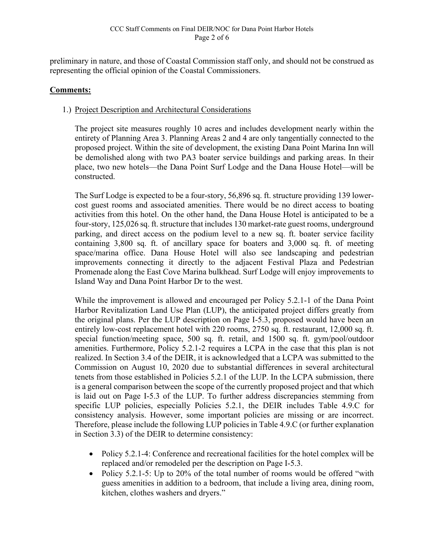preliminary in nature, and those of Coastal Commission staff only, and should not be construed as representing the official opinion of the Coastal Commissioners.

# **Comments:**

# 1.) Project Description and Architectural Considerations

The project site measures roughly 10 acres and includes development nearly within the entirety of Planning Area 3. Planning Areas 2 and 4 are only tangentially connected to the proposed project. Within the site of development, the existing Dana Point Marina Inn will be demolished along with two PA3 boater service buildings and parking areas. In their place, two new hotels—the Dana Point Surf Lodge and the Dana House Hotel—will be constructed.

The Surf Lodge is expected to be a four-story, 56,896 sq. ft. structure providing 139 lowercost guest rooms and associated amenities. There would be no direct access to boating activities from this hotel. On the other hand, the Dana House Hotel is anticipated to be a four-story, 125,026 sq. ft. structure that includes 130 market-rate guest rooms, underground parking, and direct access on the podium level to a new sq. ft. boater service facility containing 3,800 sq. ft. of ancillary space for boaters and 3,000 sq. ft. of meeting space/marina office. Dana House Hotel will also see landscaping and pedestrian improvements connecting it directly to the adjacent Festival Plaza and Pedestrian Promenade along the East Cove Marina bulkhead. Surf Lodge will enjoy improvements to Island Way and Dana Point Harbor Dr to the west.

While the improvement is allowed and encouraged per Policy 5.2.1-1 of the Dana Point Harbor Revitalization Land Use Plan (LUP), the anticipated project differs greatly from the original plans. Per the LUP description on Page I-5.3, proposed would have been an entirely low-cost replacement hotel with 220 rooms, 2750 sq. ft. restaurant, 12,000 sq. ft. special function/meeting space, 500 sq. ft. retail, and 1500 sq. ft. gym/pool/outdoor amenities. Furthermore, Policy 5.2.1-2 requires a LCPA in the case that this plan is not realized. In Section 3.4 of the DEIR, it is acknowledged that a LCPA was submitted to the Commission on August 10, 2020 due to substantial differences in several architectural tenets from those established in Policies 5.2.1 of the LUP. In the LCPA submission, there is a general comparison between the scope of the currently proposed project and that which is laid out on Page I-5.3 of the LUP. To further address discrepancies stemming from specific LUP policies, especially Policies 5.2.1, the DEIR includes Table 4.9.C for consistency analysis. However, some important policies are missing or are incorrect. Therefore, please include the following LUP policies in Table 4.9.C (or further explanation in Section 3.3) of the DEIR to determine consistency:

- Policy 5.2.1-4: Conference and recreational facilities for the hotel complex will be replaced and/or remodeled per the description on Page I-5.3.
- Policy 5.2.1-5: Up to 20% of the total number of rooms would be offered "with" guess amenities in addition to a bedroom, that include a living area, dining room, kitchen, clothes washers and dryers."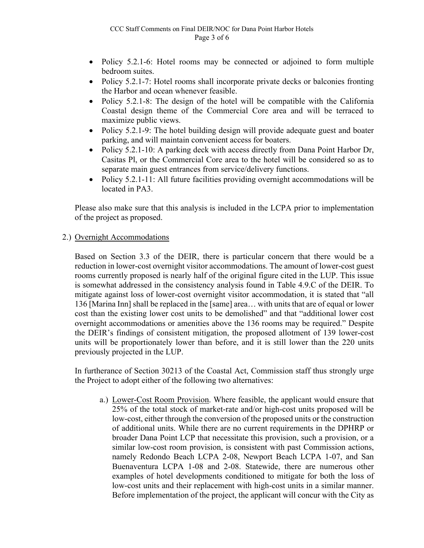- Policy 5.2.1-6: Hotel rooms may be connected or adjoined to form multiple bedroom suites.
- Policy 5.2.1-7: Hotel rooms shall incorporate private decks or balconies fronting the Harbor and ocean whenever feasible.
- Policy 5.2.1-8: The design of the hotel will be compatible with the California Coastal design theme of the Commercial Core area and will be terraced to maximize public views.
- Policy 5.2.1-9: The hotel building design will provide adequate guest and boater parking, and will maintain convenient access for boaters.
- Policy 5.2.1-10: A parking deck with access directly from Dana Point Harbor Dr, Casitas Pl, or the Commercial Core area to the hotel will be considered so as to separate main guest entrances from service/delivery functions.
- Policy 5.2.1-11: All future facilities providing overnight accommodations will be located in PA3.

Please also make sure that this analysis is included in the LCPA prior to implementation of the project as proposed.

2.) Overnight Accommodations

Based on Section 3.3 of the DEIR, there is particular concern that there would be a reduction in lower-cost overnight visitor accommodations. The amount of lower-cost guest rooms currently proposed is nearly half of the original figure cited in the LUP. This issue is somewhat addressed in the consistency analysis found in Table 4.9.C of the DEIR. To mitigate against loss of lower-cost overnight visitor accommodation, it is stated that "all 136 [Marina Inn] shall be replaced in the [same] area… with units that are of equal or lower cost than the existing lower cost units to be demolished" and that "additional lower cost overnight accommodations or amenities above the 136 rooms may be required." Despite the DEIR's findings of consistent mitigation, the proposed allotment of 139 lower-cost units will be proportionately lower than before, and it is still lower than the 220 units previously projected in the LUP.

In furtherance of Section 30213 of the Coastal Act, Commission staff thus strongly urge the Project to adopt either of the following two alternatives:

a.) Lower-Cost Room Provision. Where feasible, the applicant would ensure that 25% of the total stock of market-rate and/or high-cost units proposed will be low-cost, either through the conversion of the proposed units or the construction of additional units. While there are no current requirements in the DPHRP or broader Dana Point LCP that necessitate this provision, such a provision, or a similar low-cost room provision, is consistent with past Commission actions, namely Redondo Beach LCPA 2-08, Newport Beach LCPA 1-07, and San Buenaventura LCPA 1-08 and 2-08. Statewide, there are numerous other examples of hotel developments conditioned to mitigate for both the loss of low-cost units and their replacement with high-cost units in a similar manner. Before implementation of the project, the applicant will concur with the City as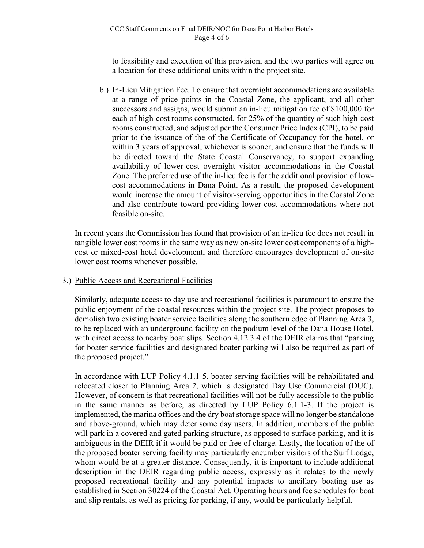### CCC Staff Comments on Final DEIR/NOC for Dana Point Harbor Hotels Page 4 of 6

to feasibility and execution of this provision, and the two parties will agree on a location for these additional units within the project site.

b.) In-Lieu Mitigation Fee. To ensure that overnight accommodations are available at a range of price points in the Coastal Zone, the applicant, and all other successors and assigns, would submit an in-lieu mitigation fee of \$100,000 for each of high-cost rooms constructed, for 25% of the quantity of such high-cost rooms constructed, and adjusted per the Consumer Price Index (CPI), to be paid prior to the issuance of the of the Certificate of Occupancy for the hotel, or within 3 years of approval, whichever is sooner, and ensure that the funds will be directed toward the State Coastal Conservancy, to support expanding availability of lower-cost overnight visitor accommodations in the Coastal Zone. The preferred use of the in-lieu fee is for the additional provision of lowcost accommodations in Dana Point. As a result, the proposed development would increase the amount of visitor-serving opportunities in the Coastal Zone and also contribute toward providing lower-cost accommodations where not feasible on-site.

In recent years the Commission has found that provision of an in-lieu fee does not result in tangible lower cost rooms in the same way as new on-site lower cost components of a highcost or mixed-cost hotel development, and therefore encourages development of on-site lower cost rooms whenever possible.

## 3.) Public Access and Recreational Facilities

Similarly, adequate access to day use and recreational facilities is paramount to ensure the public enjoyment of the coastal resources within the project site. The project proposes to demolish two existing boater service facilities along the southern edge of Planning Area 3, to be replaced with an underground facility on the podium level of the Dana House Hotel, with direct access to nearby boat slips. Section 4.12.3.4 of the DEIR claims that "parking for boater service facilities and designated boater parking will also be required as part of the proposed project."

In accordance with LUP Policy 4.1.1-5, boater serving facilities will be rehabilitated and relocated closer to Planning Area 2, which is designated Day Use Commercial (DUC). However, of concern is that recreational facilities will not be fully accessible to the public in the same manner as before, as directed by LUP Policy 6.1.1-3. If the project is implemented, the marina offices and the dry boat storage space will no longer be standalone and above-ground, which may deter some day users. In addition, members of the public will park in a covered and gated parking structure, as opposed to surface parking, and it is ambiguous in the DEIR if it would be paid or free of charge. Lastly, the location of the of the proposed boater serving facility may particularly encumber visitors of the Surf Lodge, whom would be at a greater distance. Consequently, it is important to include additional description in the DEIR regarding public access, expressly as it relates to the newly proposed recreational facility and any potential impacts to ancillary boating use as established in Section 30224 of the Coastal Act. Operating hours and fee schedules for boat and slip rentals, as well as pricing for parking, if any, would be particularly helpful.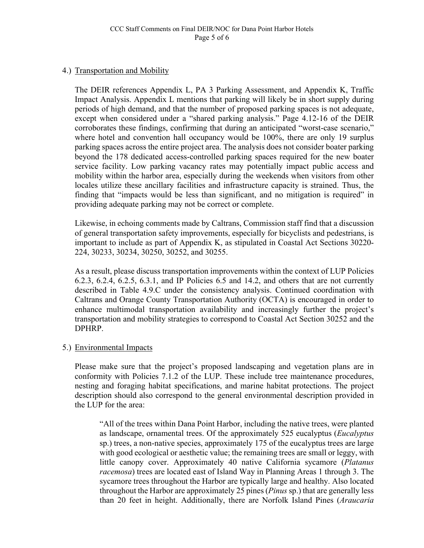# 4.) Transportation and Mobility

The DEIR references Appendix L, PA 3 Parking Assessment, and Appendix K, Traffic Impact Analysis. Appendix L mentions that parking will likely be in short supply during periods of high demand, and that the number of proposed parking spaces is not adequate, except when considered under a "shared parking analysis." Page 4.12-16 of the DEIR corroborates these findings, confirming that during an anticipated "worst-case scenario," where hotel and convention hall occupancy would be 100%, there are only 19 surplus parking spaces across the entire project area. The analysis does not consider boater parking beyond the 178 dedicated access-controlled parking spaces required for the new boater service facility. Low parking vacancy rates may potentially impact public access and mobility within the harbor area, especially during the weekends when visitors from other locales utilize these ancillary facilities and infrastructure capacity is strained. Thus, the finding that "impacts would be less than significant, and no mitigation is required" in providing adequate parking may not be correct or complete.

Likewise, in echoing comments made by Caltrans, Commission staff find that a discussion of general transportation safety improvements, especially for bicyclists and pedestrians, is important to include as part of Appendix K, as stipulated in Coastal Act Sections 30220- 224, 30233, 30234, 30250, 30252, and 30255.

As a result, please discuss transportation improvements within the context of LUP Policies 6.2.3, 6.2.4, 6.2.5, 6.3.1, and IP Policies 6.5 and 14.2, and others that are not currently described in Table 4.9.C under the consistency analysis. Continued coordination with Caltrans and Orange County Transportation Authority (OCTA) is encouraged in order to enhance multimodal transportation availability and increasingly further the project's transportation and mobility strategies to correspond to Coastal Act Section 30252 and the DPHRP.

# 5.) Environmental Impacts

Please make sure that the project's proposed landscaping and vegetation plans are in conformity with Policies 7.1.2 of the LUP. These include tree maintenance procedures, nesting and foraging habitat specifications, and marine habitat protections. The project description should also correspond to the general environmental description provided in the LUP for the area:

"All of the trees within Dana Point Harbor, including the native trees, were planted as landscape, ornamental trees. Of the approximately 525 eucalyptus (*Eucalyptus*  sp.) trees, a non-native species, approximately 175 of the eucalyptus trees are large with good ecological or aesthetic value; the remaining trees are small or leggy, with little canopy cover. Approximately 40 native California sycamore (*Platanus racemosa*) trees are located east of Island Way in Planning Areas 1 through 3. The sycamore trees throughout the Harbor are typically large and healthy. Also located throughout the Harbor are approximately 25 pines (*Pinus* sp.) that are generally less than 20 feet in height. Additionally, there are Norfolk Island Pines (*Araucaria*